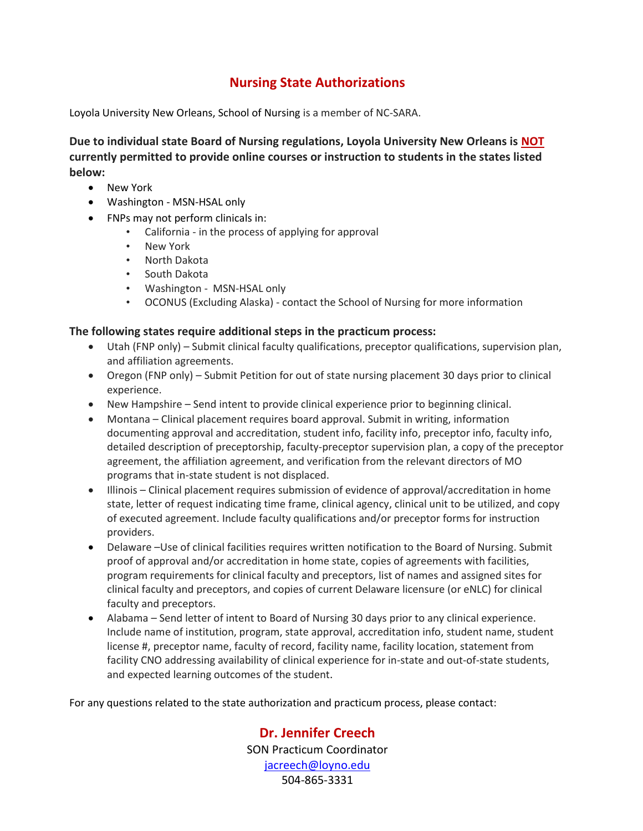## **Nursing State Authorizations**

Loyola University New Orleans, School of Nursing is a member of NC-SARA.

**Due to individual state Board of Nursing regulations, Loyola University New Orleans is NOT currently permitted to provide online courses or instruction to students in the states listed below:**

- New York
- Washington MSN-HSAL only
- FNPs may not perform clinicals in:
	- California in the process of applying for approval
	- New York
	- North Dakota
	- South Dakota
	- Washington MSN-HSAL only
	- OCONUS (Excluding Alaska) contact the School of Nursing for more information

## **The following states require additional steps in the practicum process:**

- Utah (FNP only) Submit clinical faculty qualifications, preceptor qualifications, supervision plan, and affiliation agreements.
- Oregon (FNP only) Submit Petition for out of state nursing placement 30 days prior to clinical experience.
- New Hampshire Send intent to provide clinical experience prior to beginning clinical.
- Montana Clinical placement requires board approval. Submit in writing, information documenting approval and accreditation, student info, facility info, preceptor info, faculty info, detailed description of preceptorship, faculty-preceptor supervision plan, a copy of the preceptor agreement, the affiliation agreement, and verification from the relevant directors of MO programs that in-state student is not displaced.
- Illinois Clinical placement requires submission of evidence of approval/accreditation in home state, letter of request indicating time frame, clinical agency, clinical unit to be utilized, and copy of executed agreement. Include faculty qualifications and/or preceptor forms for instruction providers.
- Delaware –Use of clinical facilities requires written notification to the Board of Nursing. Submit proof of approval and/or accreditation in home state, copies of agreements with facilities, program requirements for clinical faculty and preceptors, list of names and assigned sites for clinical faculty and preceptors, and copies of current Delaware licensure (or eNLC) for clinical faculty and preceptors.
- Alabama Send letter of intent to Board of Nursing 30 days prior to any clinical experience. Include name of institution, program, state approval, accreditation info, student name, student license #, preceptor name, faculty of record, facility name, facility location, statement from facility CNO addressing availability of clinical experience for in-state and out-of-state students, and expected learning outcomes of the student.

For any questions related to the state authorization and practicum process, please contact:

**Dr. Jennifer Creech** SON Practicum Coordinator [jacreech@loyno.edu](mailto:jacreech@loyno.edu) 504-865-3331